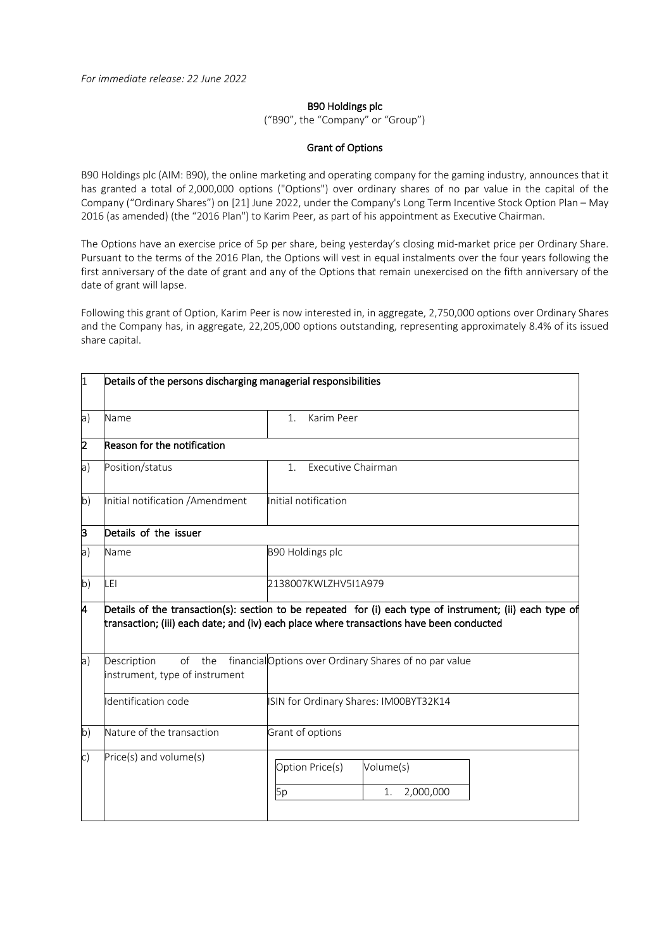## B90 Holdings plc

("B90", the "Company" or "Group")

## Grant of Options

B90 Holdings plc (AIM: B90), the online marketing and operating company for the gaming industry, announces that it has granted a total of 2,000,000 options ("Options") over ordinary shares of no par value in the capital of the Company ("Ordinary Shares") on [21] June 2022, under the Company's Long Term Incentive Stock Option Plan – May 2016 (as amended) (the "2016 Plan") to Karim Peer, as part of his appointment as Executive Chairman.

The Options have an exercise price of 5p per share, being yesterday's closing mid-market price per Ordinary Share. Pursuant to the terms of the 2016 Plan, the Options will vest in equal instalments over the four years following the first anniversary of the date of grant and any of the Options that remain unexercised on the fifth anniversary of the date of grant will lapse.

Following this grant of Option, Karim Peer is now interested in, in aggregate, 2,750,000 options over Ordinary Shares and the Company has, in aggregate, 22,205,000 options outstanding, representing approximately 8.4% of its issued share capital.

| <sup>1</sup>   | Details of the persons discharging managerial responsibilities |                                                                                                                                                                                                      |  |
|----------------|----------------------------------------------------------------|------------------------------------------------------------------------------------------------------------------------------------------------------------------------------------------------------|--|
| a)             | Name                                                           | Karim Peer<br>1.                                                                                                                                                                                     |  |
| $\overline{2}$ | Reason for the notification                                    |                                                                                                                                                                                                      |  |
| a)             | Position/status                                                | Executive Chairman<br>1 <sub>1</sub>                                                                                                                                                                 |  |
| $\mathsf{b}$   | Initial notification / Amendment                               | Initial notification                                                                                                                                                                                 |  |
| þ              | Details of the issuer                                          |                                                                                                                                                                                                      |  |
| a)             | Name                                                           | B90 Holdings plc                                                                                                                                                                                     |  |
| $\mathsf{b}$   | LEI                                                            | 2138007KWLZHV5I1A979                                                                                                                                                                                 |  |
| l4             |                                                                | Details of the transaction(s): section to be repeated for (i) each type of instrument; (ii) each type of<br>transaction; (iii) each date; and (iv) each place where transactions have been conducted |  |
| a              | of the<br>Description<br>instrument, type of instrument        | financial Options over Ordinary Shares of no par value                                                                                                                                               |  |
|                | Identification code                                            | ISIN for Ordinary Shares: IM00BYT32K14                                                                                                                                                               |  |
| b)             | Nature of the transaction                                      | Grant of options                                                                                                                                                                                     |  |
| $\mathsf{c}$ ) | Price(s) and volume(s)                                         | Option Price(s)<br>Volume(s)<br>2,000,000<br>5p<br>1.                                                                                                                                                |  |